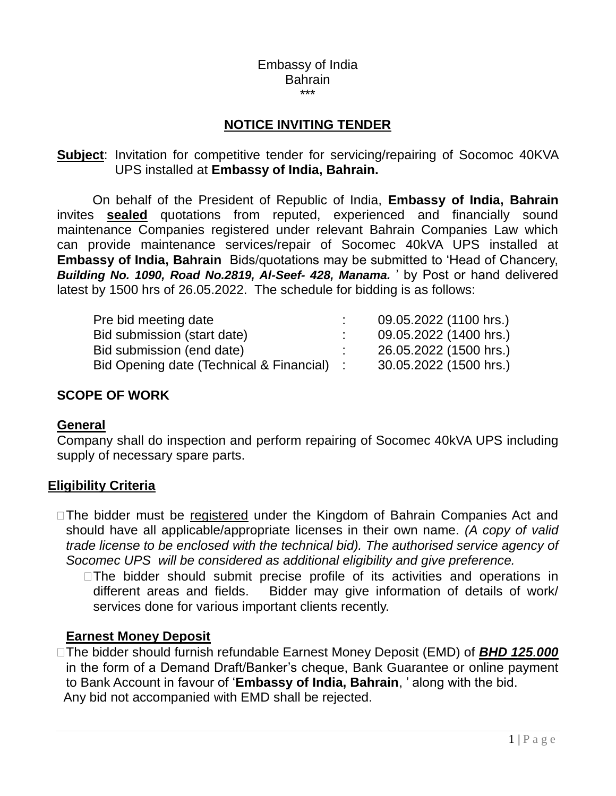#### Embassy of India Bahrain \*\*\*

# **NOTICE INVITING TENDER**

#### **Subject**: Invitation for competitive tender for servicing/repairing of Socomoc 40KVA UPS installed at **Embassy of India, Bahrain.**

On behalf of the President of Republic of India, **Embassy of India, Bahrain** invites **sealed** quotations from reputed, experienced and financially sound maintenance Companies registered under relevant Bahrain Companies Law which can provide maintenance services/repair of Socomec 40kVA UPS installed at **Embassy of India, Bahrain** Bids/quotations may be submitted to 'Head of Chancery, *Building No. 1090, Road No.2819, Al-Seef- 428, Manama.* ' by Post or hand delivered latest by 1500 hrs of 26.05.2022. The schedule for bidding is as follows:

| 09.05.2022 (1100 hrs.) |
|------------------------|
| 09.05.2022 (1400 hrs.) |
| 26.05.2022 (1500 hrs.) |
| 30.05.2022 (1500 hrs.) |
|                        |

#### **SCOPE OF WORK**

#### **General**

Company shall do inspection and perform repairing of Socomec 40kVA UPS including supply of necessary spare parts.

#### **Eligibility Criteria**

□ The bidder must be registered under the Kingdom of Bahrain Companies Act and should have all applicable/appropriate licenses in their own name. *(A copy of valid trade license to be enclosed with the technical bid). The authorised service agency of Socomec UPS will be considered as additional eligibility and give preference.*

 $\Box$  The bidder should submit precise profile of its activities and operations in different areas and fields. Bidder may give information of details of work/ services done for various important clients recently.

#### **Earnest Money Deposit**

The bidder should furnish refundable Earnest Money Deposit (EMD) of *BHD 125.000* in the form of a Demand Draft/Banker's cheque, Bank Guarantee or online payment to Bank Account in favour of '**Embassy of India, Bahrain**, ' along with the bid. Any bid not accompanied with EMD shall be rejected.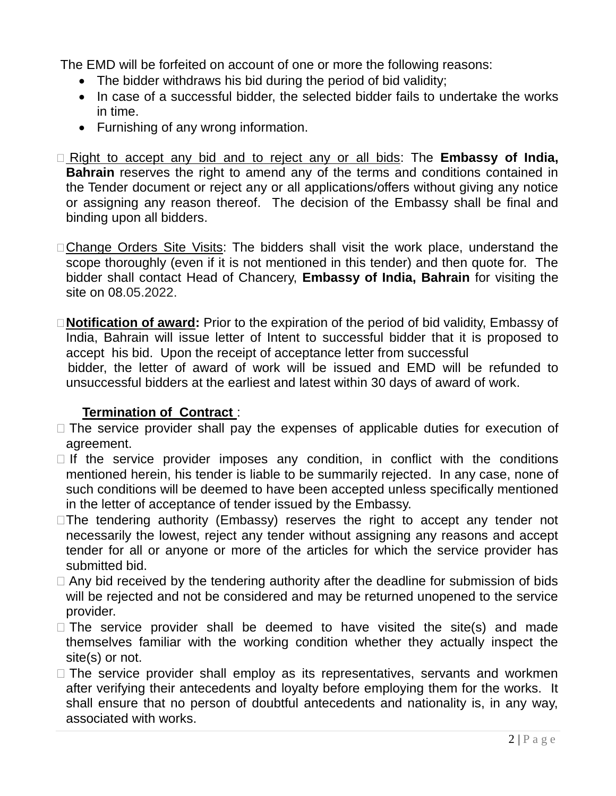The EMD will be forfeited on account of one or more the following reasons:

- The bidder withdraws his bid during the period of bid validity;
- In case of a successful bidder, the selected bidder fails to undertake the works in time.
- Furnishing of any wrong information.
- □ Right to accept any bid and to reject any or all bids: The **Embassy of India**, **Bahrain** reserves the right to amend any of the terms and conditions contained in the Tender document or reject any or all applications/offers without giving any notice or assigning any reason thereof. The decision of the Embassy shall be final and binding upon all bidders.
- □ Change Orders Site Visits: The bidders shall visit the work place, understand the scope thoroughly (even if it is not mentioned in this tender) and then quote for. The bidder shall contact Head of Chancery, **Embassy of India, Bahrain** for visiting the site on 08.05.2022.
- **Notification of award:** Prior to the expiration of the period of bid validity, Embassy of India, Bahrain will issue letter of Intent to successful bidder that it is proposed to accept his bid. Upon the receipt of acceptance letter from successful

 bidder, the letter of award of work will be issued and EMD will be refunded to unsuccessful bidders at the earliest and latest within 30 days of award of work.

# **Termination of Contract** :

- $\Box$  The service provider shall pay the expenses of applicable duties for execution of agreement.
- $\Box$  If the service provider imposes any condition, in conflict with the conditions mentioned herein, his tender is liable to be summarily rejected. In any case, none of such conditions will be deemed to have been accepted unless specifically mentioned in the letter of acceptance of tender issued by the Embassy.
- $\Box$ The tendering authority (Embassy) reserves the right to accept any tender not necessarily the lowest, reject any tender without assigning any reasons and accept tender for all or anyone or more of the articles for which the service provider has submitted bid.
- $\Box$  Any bid received by the tendering authority after the deadline for submission of bids will be rejected and not be considered and may be returned unopened to the service provider.
- $\Box$  The service provider shall be deemed to have visited the site(s) and made themselves familiar with the working condition whether they actually inspect the site(s) or not.
- $\Box$  The service provider shall employ as its representatives, servants and workmen after verifying their antecedents and loyalty before employing them for the works. It shall ensure that no person of doubtful antecedents and nationality is, in any way, associated with works.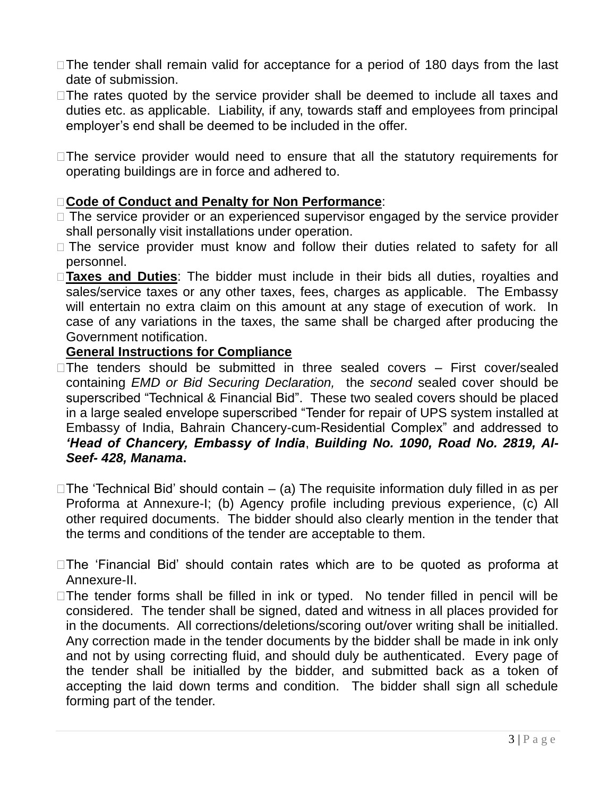- □ The tender shall remain valid for acceptance for a period of 180 days from the last date of submission.
- $\Box$  The rates quoted by the service provider shall be deemed to include all taxes and duties etc. as applicable. Liability, if any, towards staff and employees from principal employer's end shall be deemed to be included in the offer.
- □The service provider would need to ensure that all the statutory requirements for operating buildings are in force and adhered to.

# **Code of Conduct and Penalty for Non Performance**:

- $\Box$  The service provider or an experienced supervisor engaged by the service provider shall personally visit installations under operation.
- $\square$  The service provider must know and follow their duties related to safety for all personnel.
- **Taxes and Duties**: The bidder must include in their bids all duties, royalties and sales/service taxes or any other taxes, fees, charges as applicable. The Embassy will entertain no extra claim on this amount at any stage of execution of work. In case of any variations in the taxes, the same shall be charged after producing the Government notification.

#### **General Instructions for Compliance**

- $\Box$ The tenders should be submitted in three sealed covers  $-$  First cover/sealed containing *EMD or Bid Securing Declaration,* the *second* sealed cover should be superscribed "Technical & Financial Bid". These two sealed covers should be placed in a large sealed envelope superscribed "Tender for repair of UPS system installed at Embassy of India, Bahrain Chancery-cum-Residential Complex" and addressed to *'Head of Chancery, Embassy of India*, *Building No. 1090, Road No. 2819, Al-Seef- 428, Manama***.**
- $\Box$ The 'Technical Bid' should contain (a) The requisite information duly filled in as per Proforma at Annexure-I; (b) Agency profile including previous experience, (c) All other required documents. The bidder should also clearly mention in the tender that the terms and conditions of the tender are acceptable to them.
- The 'Financial Bid' should contain rates which are to be quoted as proforma at Annexure-II.
- $\Box$  The tender forms shall be filled in ink or typed. No tender filled in pencil will be considered. The tender shall be signed, dated and witness in all places provided for in the documents. All corrections/deletions/scoring out/over writing shall be initialled. Any correction made in the tender documents by the bidder shall be made in ink only and not by using correcting fluid, and should duly be authenticated. Every page of the tender shall be initialled by the bidder, and submitted back as a token of accepting the laid down terms and condition. The bidder shall sign all schedule forming part of the tender.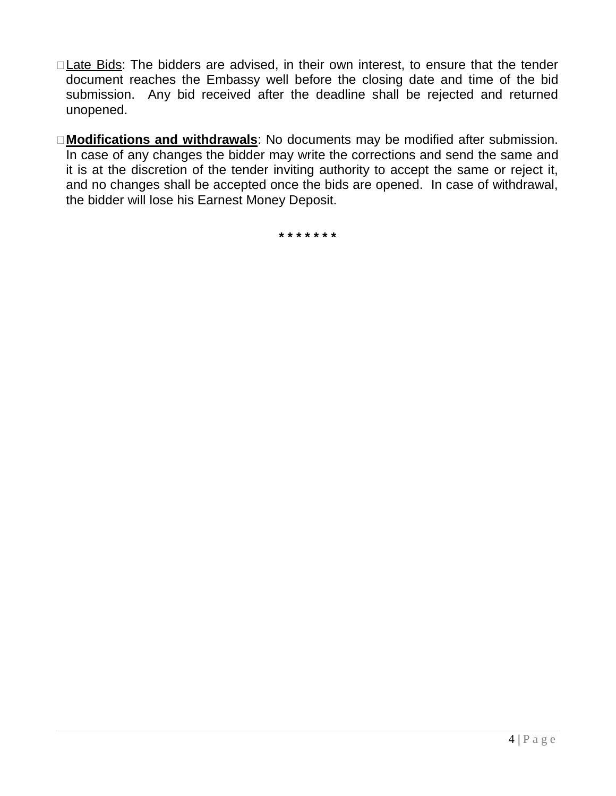- □ Late Bids: The bidders are advised, in their own interest, to ensure that the tender document reaches the Embassy well before the closing date and time of the bid submission. Any bid received after the deadline shall be rejected and returned unopened.
- **Modifications and withdrawals**: No documents may be modified after submission. In case of any changes the bidder may write the corrections and send the same and it is at the discretion of the tender inviting authority to accept the same or reject it, and no changes shall be accepted once the bids are opened. In case of withdrawal, the bidder will lose his Earnest Money Deposit.

**\* \* \* \* \* \* \***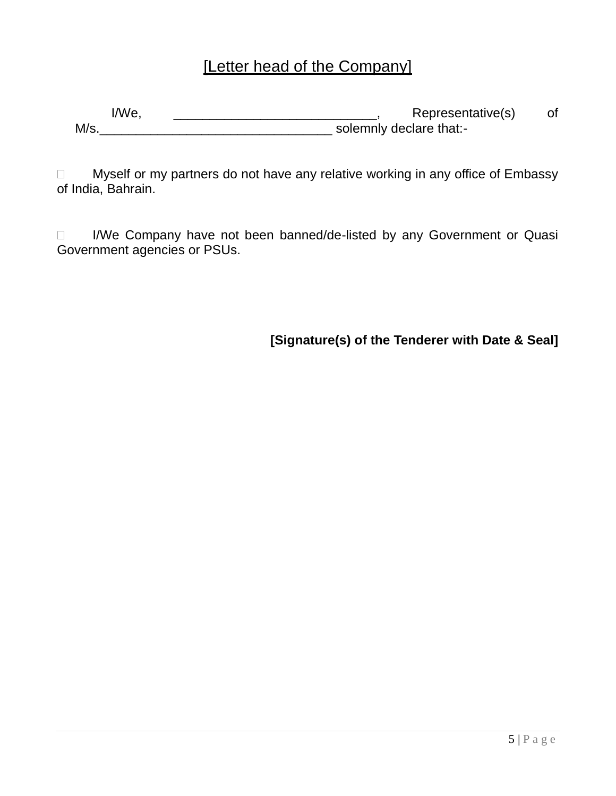# [Letter head of the Company]

I/We, \_\_\_\_\_\_\_\_\_\_\_\_\_\_\_\_\_\_\_\_\_\_\_\_\_\_\_\_\_, Representative(s) of M/s.\_\_\_\_\_\_\_\_\_\_\_\_\_\_\_\_\_\_\_\_\_\_\_\_\_\_\_\_\_\_\_\_ solemnly declare that:-

□ Myself or my partners do not have any relative working in any office of Embassy of India, Bahrain.

□ I/We Company have not been banned/de-listed by any Government or Quasi Government agencies or PSUs.

**[Signature(s) of the Tenderer with Date & Seal]**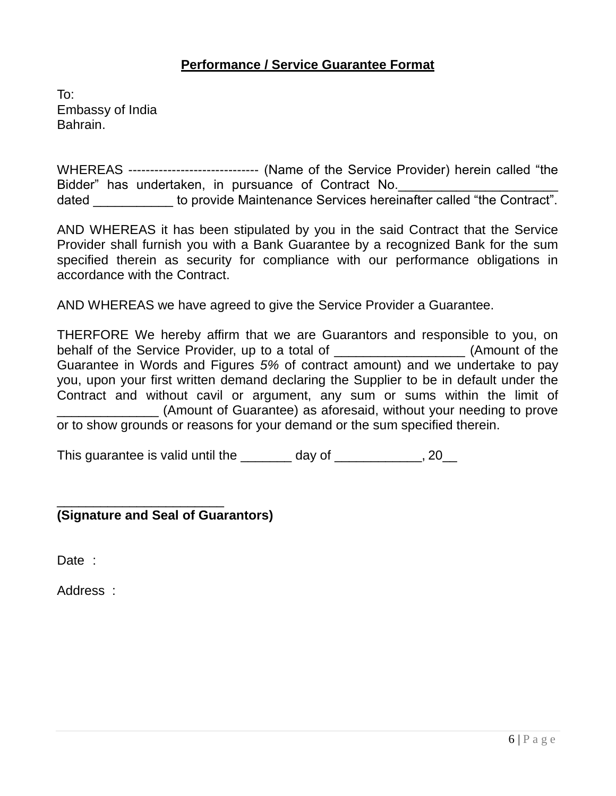# **Performance / Service Guarantee Format**

To: Embassy of India Bahrain.

WHEREAS ------------------------------ (Name of the Service Provider) herein called "the Bidder" has undertaken, in pursuance of Contract No. dated **to provide Maintenance Services hereinafter called "the Contract".** 

AND WHEREAS it has been stipulated by you in the said Contract that the Service Provider shall furnish you with a Bank Guarantee by a recognized Bank for the sum specified therein as security for compliance with our performance obligations in accordance with the Contract.

AND WHEREAS we have agreed to give the Service Provider a Guarantee.

THERFORE We hereby affirm that we are Guarantors and responsible to you, on behalf of the Service Provider, up to a total of **Example 2018** (Amount of the Guarantee in Words and Figures *5%* of contract amount) and we undertake to pay you, upon your first written demand declaring the Supplier to be in default under the Contract and without cavil or argument, any sum or sums within the limit of \_\_\_\_\_\_\_\_\_\_\_\_\_\_ (Amount of Guarantee) as aforesaid, without your needing to prove or to show grounds or reasons for your demand or the sum specified therein.

This guarantee is valid until the \_\_\_\_\_\_\_ day of \_\_\_\_\_\_\_\_\_\_, 20\_

**(Signature and Seal of Guarantors)**

\_\_\_\_\_\_\_\_\_\_\_\_\_\_\_\_\_\_\_\_\_\_\_

Date :

Address :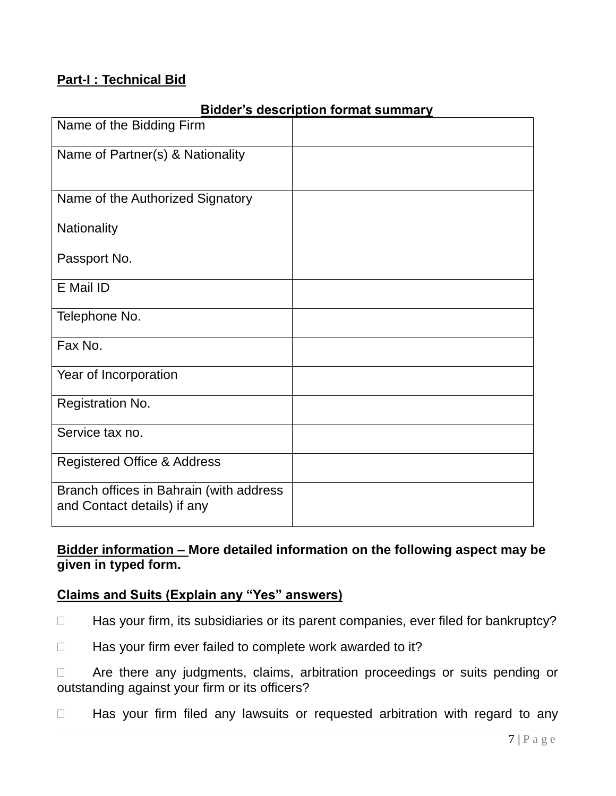## **Part-I : Technical Bid**

| Name of the Bidding Firm                                               |  |
|------------------------------------------------------------------------|--|
|                                                                        |  |
| Name of Partner(s) & Nationality                                       |  |
|                                                                        |  |
|                                                                        |  |
| Name of the Authorized Signatory                                       |  |
|                                                                        |  |
| Nationality                                                            |  |
| Passport No.                                                           |  |
|                                                                        |  |
| E Mail ID                                                              |  |
|                                                                        |  |
| Telephone No.                                                          |  |
|                                                                        |  |
| Fax No.                                                                |  |
| Year of Incorporation                                                  |  |
|                                                                        |  |
| Registration No.                                                       |  |
|                                                                        |  |
| Service tax no.                                                        |  |
|                                                                        |  |
| <b>Registered Office &amp; Address</b>                                 |  |
|                                                                        |  |
| Branch offices in Bahrain (with address<br>and Contact details) if any |  |
|                                                                        |  |

## **Bidder's description format summary**

# **Bidder information – More detailed information on the following aspect may be given in typed form.**

# **Claims and Suits (Explain any "Yes" answers)**

- □ Has your firm, its subsidiaries or its parent companies, ever filed for bankruptcy?
- $\Box$  Has your firm ever failed to complete work awarded to it?

 Are there any judgments, claims, arbitration proceedings or suits pending or outstanding against your firm or its officers?

□ Has your firm filed any lawsuits or requested arbitration with regard to any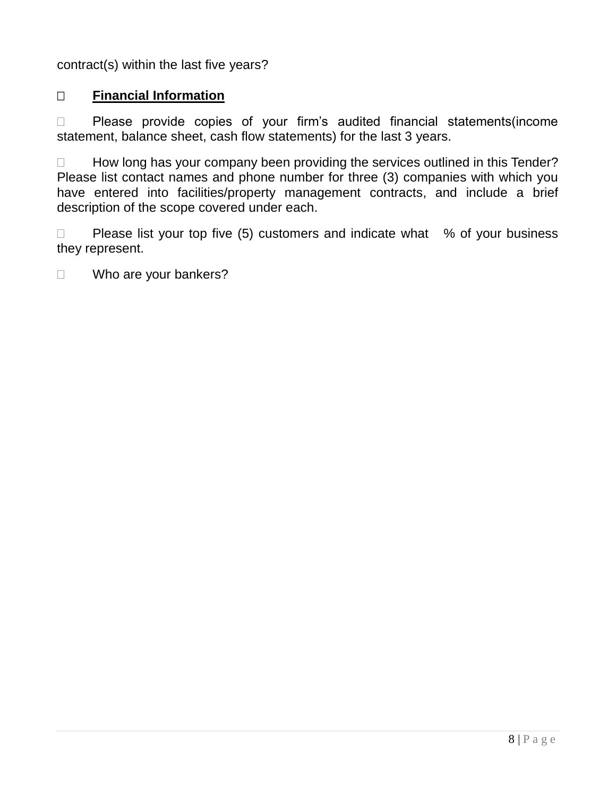contract(s) within the last five years?

# **Financial Information**

□ Please provide copies of your firm's audited financial statements(income statement, balance sheet, cash flow statements) for the last 3 years.

 $\Box$  How long has your company been providing the services outlined in this Tender? Please list contact names and phone number for three (3) companies with which you have entered into facilities/property management contracts, and include a brief description of the scope covered under each.

 $\Box$  Please list your top five (5) customers and indicate what  $\%$  of your business they represent.

□ Who are your bankers?